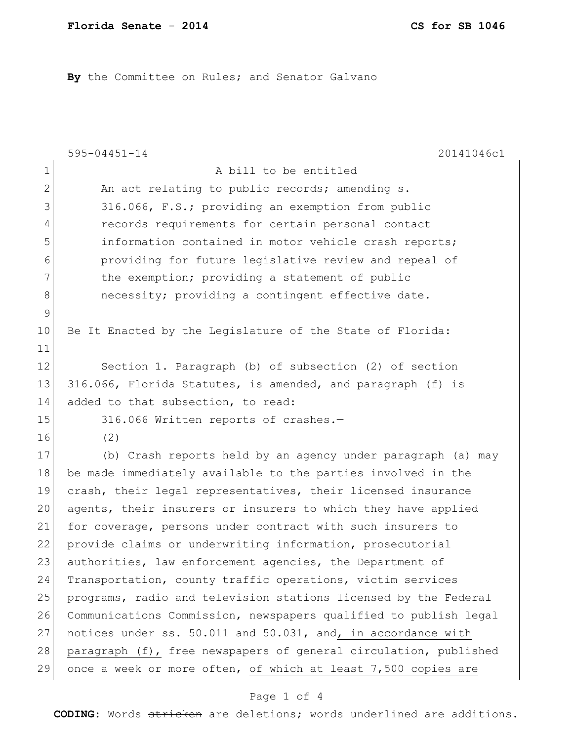By the Committee on Rules; and Senator Galvano

|              | 20141046c1<br>$595 - 04451 - 14$                                 |
|--------------|------------------------------------------------------------------|
| $\mathbf 1$  | A bill to be entitled                                            |
| $\mathbf{2}$ | An act relating to public records; amending s.                   |
| 3            | 316.066, F.S.; providing an exemption from public                |
| 4            | records requirements for certain personal contact                |
| 5            | information contained in motor vehicle crash reports;            |
| 6            | providing for future legislative review and repeal of            |
| 7            | the exemption; providing a statement of public                   |
| 8            | necessity; providing a contingent effective date.                |
| $\mathsf 9$  |                                                                  |
| 10           | Be It Enacted by the Legislature of the State of Florida:        |
| 11           |                                                                  |
| 12           | Section 1. Paragraph (b) of subsection (2) of section            |
| 13           | 316.066, Florida Statutes, is amended, and paragraph (f) is      |
| 14           | added to that subsection, to read:                               |
| 15           | 316.066 Written reports of crashes.-                             |
| 16           | (2)                                                              |
| 17           | (b) Crash reports held by an agency under paragraph (a) may      |
| 18           | be made immediately available to the parties involved in the     |
| 19           | crash, their legal representatives, their licensed insurance     |
| 20           | agents, their insurers or insurers to which they have applied    |
| 21           | for coverage, persons under contract with such insurers to       |
| 22           | provide claims or underwriting information, prosecutorial        |
| 23           | authorities, law enforcement agencies, the Department of         |
| 24           | Transportation, county traffic operations, victim services       |
| 25           | programs, radio and television stations licensed by the Federal  |
| 26           | Communications Commission, newspapers qualified to publish legal |
| 27           | notices under ss. 50.011 and 50.031, and, in accordance with     |
| 28           | paragraph (f), free newspapers of general circulation, published |
| 29           | once a week or more often, of which at least 7,500 copies are    |

## Page 1 of 4

**CODING**: Words stricken are deletions; words underlined are additions.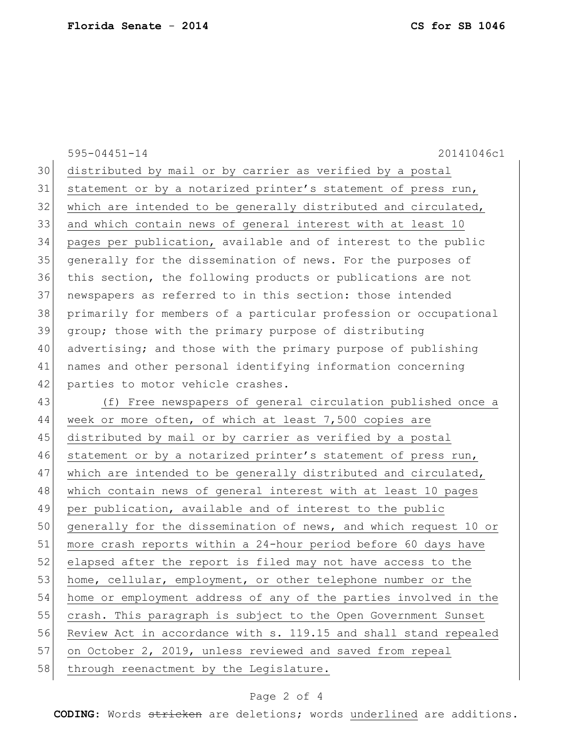|    | $595 - 04451 - 14$<br>20141046c1                                 |
|----|------------------------------------------------------------------|
| 30 | distributed by mail or by carrier as verified by a postal        |
| 31 | statement or by a notarized printer's statement of press run,    |
| 32 | which are intended to be generally distributed and circulated,   |
| 33 | and which contain news of general interest with at least 10      |
| 34 | pages per publication, available and of interest to the public   |
| 35 | generally for the dissemination of news. For the purposes of     |
| 36 | this section, the following products or publications are not     |
| 37 | newspapers as referred to in this section: those intended        |
| 38 | primarily for members of a particular profession or occupational |
| 39 | group; those with the primary purpose of distributing            |
| 40 | advertising; and those with the primary purpose of publishing    |
| 41 | names and other personal identifying information concerning      |
| 42 | parties to motor vehicle crashes.                                |
| 43 | (f) Free newspapers of general circulation published once a      |
| 44 | week or more often, of which at least 7,500 copies are           |
| 45 | distributed by mail or by carrier as verified by a postal        |
| 46 | statement or by a notarized printer's statement of press run,    |
| 47 | which are intended to be generally distributed and circulated,   |
| 48 | which contain news of general interest with at least 10 pages    |
| 49 | per publication, available and of interest to the public         |
| 50 | generally for the dissemination of news, and which request 10 or |
| 51 | more crash reports within a 24-hour period before 60 days have   |
| 52 | elapsed after the report is filed may not have access to the     |
| 53 | home, cellular, employment, or other telephone number or the     |
| 54 | home or employment address of any of the parties involved in the |
| 55 | crash. This paragraph is subject to the Open Government Sunset   |
| 56 | Review Act in accordance with s. 119.15 and shall stand repealed |
| 57 | on October 2, 2019, unless reviewed and saved from repeal        |
| 58 | through reenactment by the Legislature.                          |

## Page 2 of 4

**CODING**: Words stricken are deletions; words underlined are additions.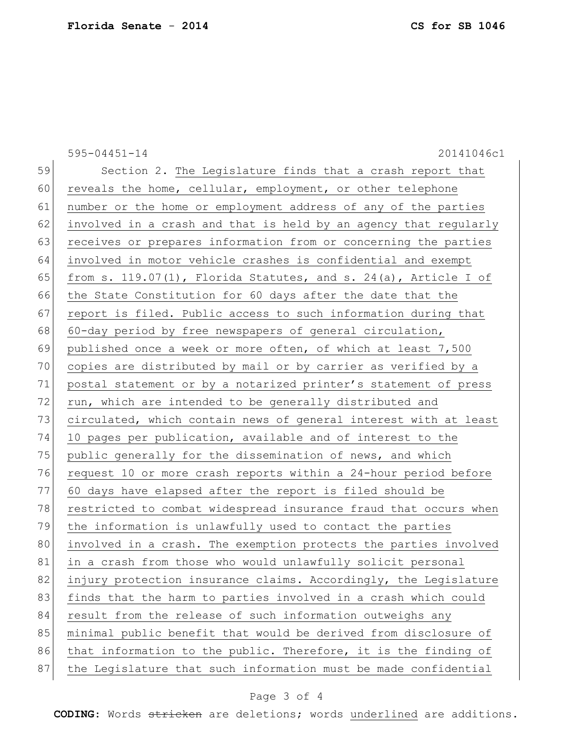|    | $595 - 04451 - 14$<br>20141046c1                                   |
|----|--------------------------------------------------------------------|
| 59 | Section 2. The Legislature finds that a crash report that          |
| 60 | reveals the home, cellular, employment, or other telephone         |
| 61 | number or the home or employment address of any of the parties     |
| 62 | involved in a crash and that is held by an agency that regularly   |
| 63 | receives or prepares information from or concerning the parties    |
| 64 | involved in motor vehicle crashes is confidential and exempt       |
| 65 | from s. 119.07(1), Florida Statutes, and s. 24(a), Article I of    |
| 66 | the State Constitution for 60 days after the date that the         |
| 67 | report is filed. Public access to such information during that     |
| 68 | 60-day period by free newspapers of general circulation,           |
| 69 | published once a week or more often, of which at least 7,500       |
| 70 | copies are distributed by mail or by carrier as verified by a      |
| 71 | postal statement or by a notarized printer's statement of press    |
| 72 | run, which are intended to be generally distributed and            |
| 73 | circulated, which contain news of general interest with at least   |
| 74 | 10 pages per publication, available and of interest to the         |
| 75 | public generally for the dissemination of news, and which          |
| 76 | request 10 or more crash reports within a 24-hour period before    |
| 77 | 60 days have elapsed after the report is filed should be           |
| 78 | restricted to combat widespread insurance fraud that occurs when   |
| 79 | the information is unlawfully used to contact the parties          |
| 80 | involved in a crash. The exemption protects the parties involved   |
| 81 | <u>in a crash from those who would unlawfully solicit personal</u> |
| 82 | injury protection insurance claims. Accordingly, the Legislature   |
| 83 | finds that the harm to parties involved in a crash which could     |
| 84 | result from the release of such information outweighs any          |
| 85 | minimal public benefit that would be derived from disclosure of    |
| 86 | that information to the public. Therefore, it is the finding of    |
| 87 | the Legislature that such information must be made confidential    |
|    |                                                                    |

## Page 3 of 4

**CODING**: Words stricken are deletions; words underlined are additions.